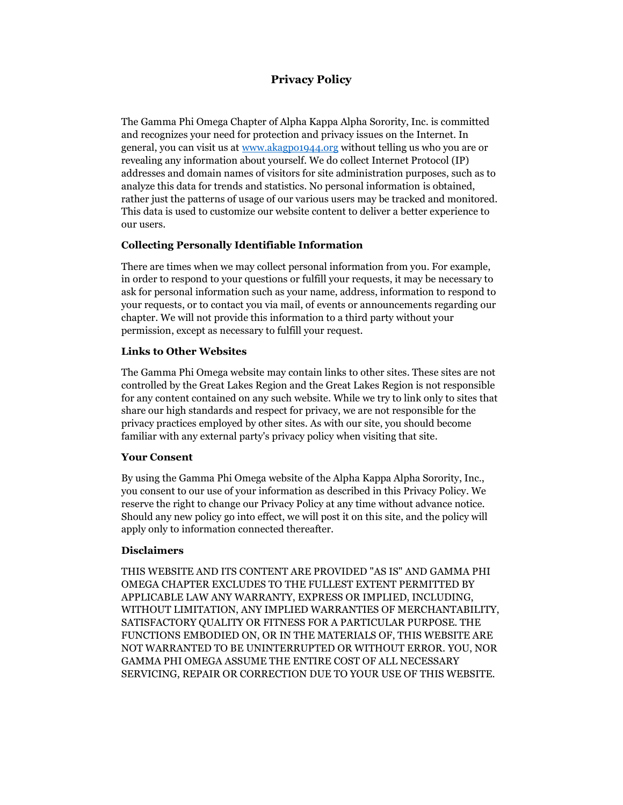# **Privacy Policy**

The Gamma Phi Omega Chapter of Alpha Kappa Alpha Sorority, Inc. is committed and recognizes your need for protection and privacy issues on the Internet. In general, you can visit us at [www.akagpo1944.org](http://www.akagpo1944.org/) without telling us who you are or revealing any information about yourself. We do collect Internet Protocol (IP) addresses and domain names of visitors for site administration purposes, such as to analyze this data for trends and statistics. No personal information is obtained, rather just the patterns of usage of our various users may be tracked and monitored. This data is used to customize our website content to deliver a better experience to our users.

### **Collecting Personally Identifiable Information**

There are times when we may collect personal information from you. For example, in order to respond to your questions or fulfill your requests, it may be necessary to ask for personal information such as your name, address, information to respond to your requests, or to contact you via mail, of events or announcements regarding our chapter. We will not provide this information to a third party without your permission, except as necessary to fulfill your request.

### **Links to Other Websites**

The Gamma Phi Omega website may contain links to other sites. These sites are not controlled by the Great Lakes Region and the Great Lakes Region is not responsible for any content contained on any such website. While we try to link only to sites that share our high standards and respect for privacy, we are not responsible for the privacy practices employed by other sites. As with our site, you should become familiar with any external party's privacy policy when visiting that site.

### **Your Consent**

By using the Gamma Phi Omega website of the Alpha Kappa Alpha Sorority, Inc., you consent to our use of your information as described in this Privacy Policy. We reserve the right to change our Privacy Policy at any time without advance notice. Should any new policy go into effect, we will post it on this site, and the policy will apply only to information connected thereafter.

# **Disclaimers**

THIS WEBSITE AND ITS CONTENT ARE PROVIDED "AS IS" AND GAMMA PHI OMEGA CHAPTER EXCLUDES TO THE FULLEST EXTENT PERMITTED BY APPLICABLE LAW ANY WARRANTY, EXPRESS OR IMPLIED, INCLUDING, WITHOUT LIMITATION, ANY IMPLIED WARRANTIES OF MERCHANTABILITY, SATISFACTORY QUALITY OR FITNESS FOR A PARTICULAR PURPOSE. THE FUNCTIONS EMBODIED ON, OR IN THE MATERIALS OF, THIS WEBSITE ARE NOT WARRANTED TO BE UNINTERRUPTED OR WITHOUT ERROR. YOU, NOR GAMMA PHI OMEGA ASSUME THE ENTIRE COST OF ALL NECESSARY SERVICING, REPAIR OR CORRECTION DUE TO YOUR USE OF THIS WEBSITE.